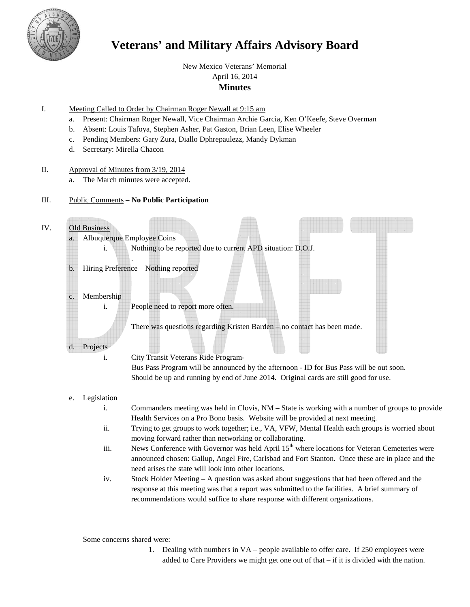

# **Veterans' and Military Affairs Advisory Board**

New Mexico Veterans' Memorial

# April 16, 2014

# **Minutes**

- I. Meeting Called to Order by Chairman Roger Newall at 9:15 am
	- a. Present: Chairman Roger Newall, Vice Chairman Archie Garcia, Ken O'Keefe, Steve Overman
	- b. Absent: Louis Tafoya, Stephen Asher, Pat Gaston, Brian Leen, Elise Wheeler
	- c. Pending Members: Gary Zura, Diallo Dphrepaulezz, Mandy Dykman
	- d. Secretary: Mirella Chacon

## II. Approval of Minutes from 3/19, 2014

- a. The March minutes were accepted.
- III. Public Comments **No Public Participation**

# IV. Old Business

- a. Albuquerque Employee Coins i. Nothing to be reported due to current APD situation: D.O.J. .
- b. Hiring Preference Nothing reported

# c. Membership

i. People need to report more often.

There was questions regarding Kristen Barden – no contact has been made.

# d. Projects

## i. City Transit Veterans Ride Program-

Bus Pass Program will be announced by the afternoon - ID for Bus Pass will be out soon. Should be up and running by end of June 2014. Original cards are still good for use.

# e. Legislation

- i. Commanders meeting was held in Clovis, NM State is working with a number of groups to provide Health Services on a Pro Bono basis. Website will be provided at next meeting.
- ii. Trying to get groups to work together; i.e., VA, VFW, Mental Health each groups is worried about moving forward rather than networking or collaborating.
- iii. News Conference with Governor was held April  $15<sup>th</sup>$  where locations for Veteran Cemeteries were announced chosen: Gallup, Angel Fire, Carlsbad and Fort Stanton. Once these are in place and the need arises the state will look into other locations.
- iv. Stock Holder Meeting A question was asked about suggestions that had been offered and the response at this meeting was that a report was submitted to the facilities. A brief summary of recommendations would suffice to share response with different organizations.

Some concerns shared were:

1. Dealing with numbers in VA – people available to offer care. If 250 employees were added to Care Providers we might get one out of that – if it is divided with the nation.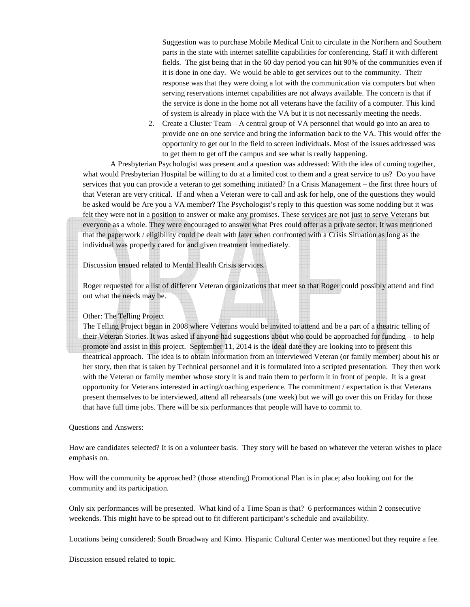Suggestion was to purchase Mobile Medical Unit to circulate in the Northern and Southern parts in the state with internet satellite capabilities for conferencing. Staff it with different fields. The gist being that in the 60 day period you can hit 90% of the communities even if it is done in one day. We would be able to get services out to the community. Their response was that they were doing a lot with the communication via computers but when serving reservations internet capabilities are not always available. The concern is that if the service is done in the home not all veterans have the facility of a computer. This kind of system is already in place with the VA but it is not necessarily meeting the needs.

2. Create a Cluster Team – A central group of VA personnel that would go into an area to provide one on one service and bring the information back to the VA. This would offer the opportunity to get out in the field to screen individuals. Most of the issues addressed was to get them to get off the campus and see what is really happening.

A Presbyterian Psychologist was present and a question was addressed: With the idea of coming together, what would Presbyterian Hospital be willing to do at a limited cost to them and a great service to us? Do you have services that you can provide a veteran to get something initiated? In a Crisis Management – the first three hours of that Veteran are very critical. If and when a Veteran were to call and ask for help, one of the questions they would be asked would be Are you a VA member? The Psychologist's reply to this question was some nodding but it was felt they were not in a position to answer or make any promises. These services are not just to serve Veterans but everyone as a whole. They were encouraged to answer what Pres could offer as a private sector. It was mentioned that the paperwork / eligibility could be dealt with later when confronted with a Crisis Situation as long as the individual was properly cared for and given treatment immediately.

Discussion ensued related to Mental Health Crisis services.

Roger requested for a list of different Veteran organizations that meet so that Roger could possibly attend and find out what the needs may be.

#### Other: The Telling Project

The Telling Project began in 2008 where Veterans would be invited to attend and be a part of a theatric telling of their Veteran Stories. It was asked if anyone had suggestions about who could be approached for funding – to help promote and assist in this project. September 11, 2014 is the ideal date they are looking into to present this theatrical approach. The idea is to obtain information from an interviewed Veteran (or family member) about his or her story, then that is taken by Technical personnel and it is formulated into a scripted presentation. They then work with the Veteran or family member whose story it is and train them to perform it in front of people. It is a great opportunity for Veterans interested in acting/coaching experience. The commitment / expectation is that Veterans present themselves to be interviewed, attend all rehearsals (one week) but we will go over this on Friday for those that have full time jobs. There will be six performances that people will have to commit to.

#### Questions and Answers:

How are candidates selected? It is on a volunteer basis. They story will be based on whatever the veteran wishes to place emphasis on.

How will the community be approached? (those attending) Promotional Plan is in place; also looking out for the community and its participation.

Only six performances will be presented. What kind of a Time Span is that? 6 performances within 2 consecutive weekends. This might have to be spread out to fit different participant's schedule and availability.

Locations being considered: South Broadway and Kimo. Hispanic Cultural Center was mentioned but they require a fee.

Discussion ensued related to topic.